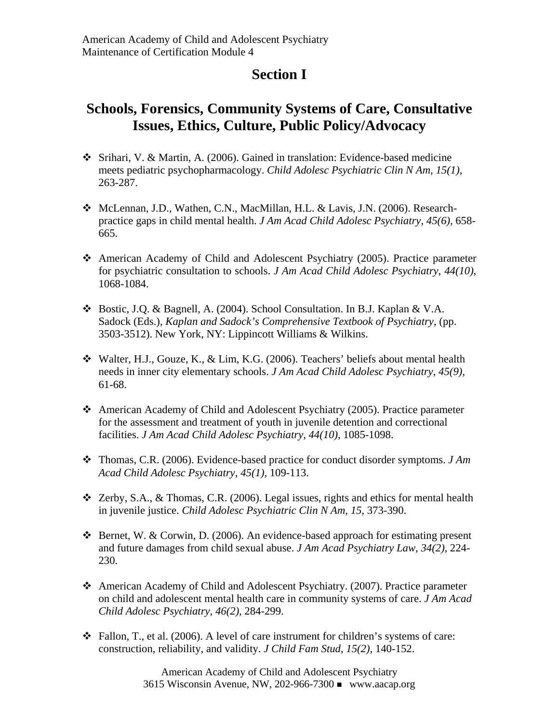## **Section I**

## **Schools, Forensics, Community Systems of Care, Consultative Issues, Ethics, Culture, Public Policy/Advocacy**

- Srihari, V. & Martin, A. (2006). Gained in translation: Evidence-based medicine meets pediatric psychopharmacology. *Child Adolesc Psychiatric Clin N Am*, *15(1)*, 263-287.
- ◆ McLennan, J.D., Wathen, C.N., MacMillan, H.L. & Lavis, J.N. (2006). Researchpractice gaps in child mental health. *J Am Acad Child Adolesc Psychiatry*, *45(6),* 658- 665.
- American Academy of Child and Adolescent Psychiatry (2005). Practice parameter for psychiatric consultation to schools. *J Am Acad Child Adolesc Psychiatry*, *44(10),* 1068-1084.
- Bostic, J.Q. & Bagnell, A. (2004). School Consultation. In B.J. Kaplan & V.A. Sadock (Eds.), *Kaplan and Sadock's Comprehensive Textbook of Psychiatry*, (pp. 3503-3512). New York, NY: Lippincott Williams & Wilkins.
- Walter, H.J., Gouze, K., & Lim, K.G. (2006). Teachers' beliefs about mental health needs in inner city elementary schools. *J Am Acad Child Adolesc Psychiatry*, *45(9),* 61-68.
- American Academy of Child and Adolescent Psychiatry (2005). Practice parameter for the assessment and treatment of youth in juvenile detention and correctional facilities. *J Am Acad Child Adolesc Psychiatry*, *44(10),* 1085-1098.
- Thomas, C.R. (2006). Evidence-based practice for conduct disorder symptoms. *J Am Acad Child Adolesc Psychiatry*, *45(1),* 109-113.
- $\triangle$  Zerby, S.A., & Thomas, C.R. (2006). Legal issues, rights and ethics for mental health in juvenile justice. *Child Adolesc Psychiatric Clin N Am, 15*, 373-390.
- Bernet, W. & Corwin, D. (2006). An evidence-based approach for estimating present and future damages from child sexual abuse. *J Am Acad Psychiatry Law*, *34(2),* 224- 230.
- American Academy of Child and Adolescent Psychiatry. (2007). Practice parameter on child and adolescent mental health care in community systems of care. *J Am Acad Child Adolesc Psychiatry, 46(2),* 284-299.
- $\div$  Fallon, T., et al. (2006). A level of care instrument for children's systems of care: construction, reliability, and validity. *J Child Fam Stud*, *15(2),* 140-152.

American Academy of Child and Adolescent Psychiatry 3615 Wisconsin Avenue, NW, 202-966-7300 www.aacap.org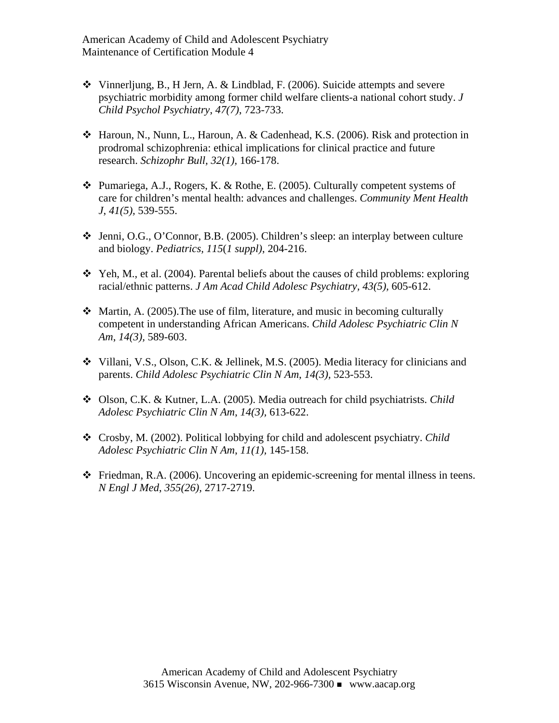American Academy of Child and Adolescent Psychiatry Maintenance of Certification Module 4

- Vinnerljung, B., H Jern, A. & Lindblad, F. (2006). Suicide attempts and severe psychiatric morbidity among former child welfare clients-a national cohort study. *J Child Psychol Psychiatry*, *47(7)*, 723-733.
- Haroun, N., Nunn, L., Haroun, A. & Cadenhead, K.S. (2006). Risk and protection in prodromal schizophrenia: ethical implications for clinical practice and future research. *Schizophr Bull, 32(1),* 166-178.
- $\triangle$  Pumariega, A.J., Rogers, K. & Rothe, E. (2005). Culturally competent systems of care for children's mental health: advances and challenges. *Community Ment Health J*, *41(5),* 539-555.
- Jenni, O.G., O'Connor, B.B. (2005). Children's sleep: an interplay between culture and biology. *Pediatrics, 115*(*1 suppl)*, 204-216.
- $\div$  Yeh, M., et al. (2004). Parental beliefs about the causes of child problems: exploring racial/ethnic patterns. *J Am Acad Child Adolesc Psychiatry, 43(5),* 605-612.
- $\cdot$  Martin, A. (2005). The use of film, literature, and music in becoming culturally competent in understanding African Americans. *Child Adolesc Psychiatric Clin N Am*, *14(3),* 589-603.
- Villani, V.S., Olson, C.K. & Jellinek, M.S. (2005). Media literacy for clinicians and parents. *Child Adolesc Psychiatric Clin N Am*, *14(3),* 523-553.
- Olson, C.K. & Kutner, L.A. (2005). Media outreach for child psychiatrists. *Child Adolesc Psychiatric Clin N Am*, *14(3),* 613-622.
- Crosby, M. (2002). Political lobbying for child and adolescent psychiatry. *Child Adolesc Psychiatric Clin N Am*, *11(1),* 145-158.
- $\div$  Friedman, R.A. (2006). Uncovering an epidemic-screening for mental illness in teens. *N Engl J Med*, *355(26),* 2717-2719.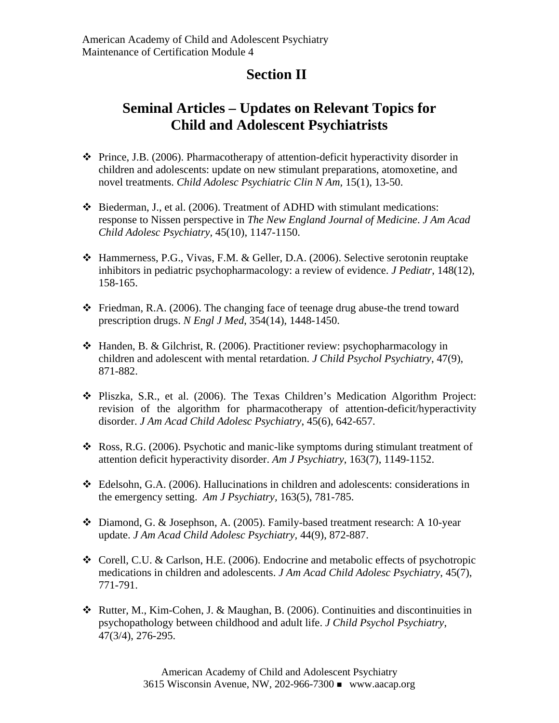## **Section II**

## **Seminal Articles – Updates on Relevant Topics for Child and Adolescent Psychiatrists**

- $\cdot \cdot$  Prince, J.B. (2006). Pharmacotherapy of attention-deficit hyperactivity disorder in children and adolescents: update on new stimulant preparations, atomoxetine, and novel treatments. *Child Adolesc Psychiatric Clin N Am,* 15(1), 13-50.
- Biederman, J., et al. (2006). Treatment of ADHD with stimulant medications: response to Nissen perspective in *The New England Journal of Medicine*. *J Am Acad Child Adolesc Psychiatry,* 45(10), 1147-1150.
- Hammerness, P.G., Vivas, F.M. & Geller, D.A. (2006). Selective serotonin reuptake inhibitors in pediatric psychopharmacology: a review of evidence. *J Pediatr*, 148(12), 158-165.
- $\triangle$  Friedman, R.A. (2006). The changing face of teenage drug abuse-the trend toward prescription drugs. *N Engl J Med*, 354(14), 1448-1450.
- Handen, B. & Gilchrist, R. (2006). Practitioner review: psychopharmacology in children and adolescent with mental retardation. *J Child Psychol Psychiatry*, 47(9), 871-882.
- Pliszka, S.R., et al. (2006). The Texas Children's Medication Algorithm Project: revision of the algorithm for pharmacotherapy of attention-deficit/hyperactivity disorder. *J Am Acad Child Adolesc Psychiatry*, 45(6), 642-657.
- Ross, R.G. (2006). Psychotic and manic-like symptoms during stimulant treatment of attention deficit hyperactivity disorder. *Am J Psychiatry*, 163(7), 1149-1152.
- Edelsohn, G.A. (2006). Hallucinations in children and adolescents: considerations in the emergency setting. *Am J Psychiatry,* 163(5), 781-785.
- Diamond, G. & Josephson, A. (2005). Family-based treatment research: A 10-year update. *J Am Acad Child Adolesc Psychiatry,* 44(9), 872-887.
- Corell, C.U. & Carlson, H.E. (2006). Endocrine and metabolic effects of psychotropic medications in children and adolescents. *J Am Acad Child Adolesc Psychiatry*, 45(7), 771-791.
- Rutter, M., Kim-Cohen, J. & Maughan, B. (2006). Continuities and discontinuities in psychopathology between childhood and adult life. *J Child Psychol Psychiatry*, 47(3/4), 276-295.